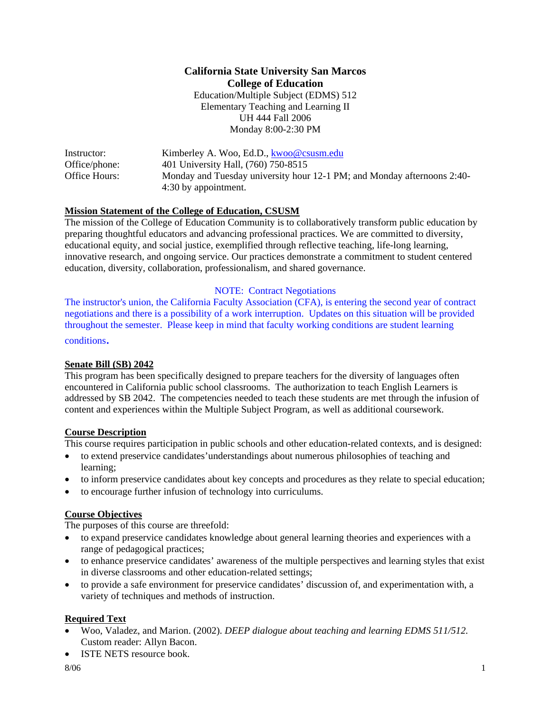# **California State University San Marcos College of Education**  Education/Multiple Subject (EDMS) 512 Elementary Teaching and Learning II UH 444 Fall 2006 Monday 8:00-2:30 PM

| Instructor:   | Kimberley A. Woo, Ed.D., kwoo@csusm.edu                                 |
|---------------|-------------------------------------------------------------------------|
| Office/phone: | 401 University Hall, (760) 750-8515                                     |
| Office Hours: | Monday and Tuesday university hour 12-1 PM; and Monday afternoons 2:40- |
|               | 4:30 by appointment.                                                    |

### **Mission Statement of the College of Education, CSUSM**

The mission of the College of Education Community is to collaboratively transform public education by preparing thoughtful educators and advancing professional practices. We are committed to diversity, educational equity, and social justice, exemplified through reflective teaching, life-long learning, innovative research, and ongoing service. Our practices demonstrate a commitment to student centered education, diversity, collaboration, professionalism, and shared governance.

#### NOTE: Contract Negotiations

The instructor's union, the California Faculty Association (CFA), is entering the second year of contract negotiations and there is a possibility of a work interruption. Updates on this situation will be provided throughout the semester. Please keep in mind that faculty working conditions are student learning conditions.

# **Senate Bill (SB) 2042**

This program has been specifically designed to prepare teachers for the diversity of languages often encountered in California public school classrooms. The authorization to teach English Learners is addressed by SB 2042. The competencies needed to teach these students are met through the infusion of content and experiences within the Multiple Subject Program, as well as additional coursework.

### **Course Description**

This course requires participation in public schools and other education-related contexts, and is designed:

- to extend preservice candidates'understandings about numerous philosophies of teaching and learning;
- to inform preservice candidates about key concepts and procedures as they relate to special education;
- to encourage further infusion of technology into curriculums.

### **Course Objectives**

The purposes of this course are threefold:

- to expand preservice candidates knowledge about general learning theories and experiences with a range of pedagogical practices;
- to enhance preservice candidates' awareness of the multiple perspectives and learning styles that exist in diverse classrooms and other education-related settings;
- to provide a safe environment for preservice candidates' discussion of, and experimentation with, a variety of techniques and methods of instruction.

### **Required Text**

- Woo, Valadez, and Marion. (2002). *DEEP dialogue about teaching and learning EDMS 511/512.* Custom reader: Allyn Bacon.
- ISTE NETS resource book.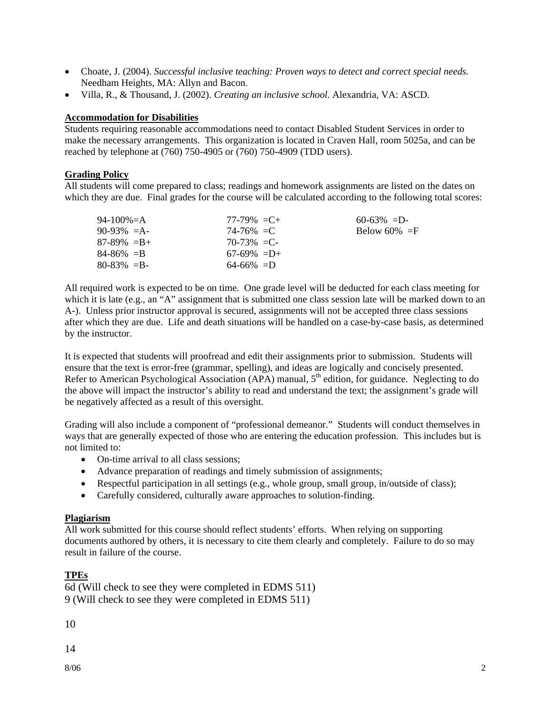- Choate, J. (2004). *Successful inclusive teaching: Proven ways to detect and correct special needs.* Needham Heights, MA: Allyn and Bacon.
- Villa, R., & Thousand, J. (2002). *Creating an inclusive school.* Alexandria, VA: ASCD.

#### **Accommodation for Disabilities**

Students requiring reasonable accommodations need to contact Disabled Student Services in order to make the necessary arrangements. This organization is located in Craven Hall, room 5025a, and can be reached by telephone at (760) 750-4905 or (760) 750-4909 (TDD users).

#### **Grading Policy**

All students will come prepared to class; readings and homework assignments are listed on the dates on which they are due. Final grades for the course will be calculated according to the following total scores:

| 94-100%=A       | $77-79\% = C +$ | $60-63\% = D$   |
|-----------------|-----------------|-----------------|
| $90-93\% = A$   | $74 - 76\% = C$ | Below 60% $=$ F |
| $87-89\% = B +$ | 70-73% = C-     |                 |
| $84 - 86\% = B$ | $67-69\% = D+$  |                 |
| $80 - 83\% = B$ | $64 - 66\% = D$ |                 |

All required work is expected to be on time. One grade level will be deducted for each class meeting for which it is late (e.g., an "A" assignment that is submitted one class session late will be marked down to an A-). Unless prior instructor approval is secured, assignments will not be accepted three class sessions after which they are due. Life and death situations will be handled on a case-by-case basis, as determined by the instructor.

It is expected that students will proofread and edit their assignments prior to submission. Students will ensure that the text is error-free (grammar, spelling), and ideas are logically and concisely presented. Refer to American Psychological Association (APA) manual, 5<sup>th</sup> edition, for guidance. Neglecting to do the above will impact the instructor's ability to read and understand the text; the assignment's grade will be negatively affected as a result of this oversight.

Grading will also include a component of "professional demeanor." Students will conduct themselves in ways that are generally expected of those who are entering the education profession. This includes but is not limited to:

- On-time arrival to all class sessions:
- Advance preparation of readings and timely submission of assignments;
- Respectful participation in all settings (e.g., whole group, small group, in/outside of class);
- Carefully considered, culturally aware approaches to solution-finding.

### **Plagiarism**

All work submitted for this course should reflect students' efforts. When relying on supporting documents authored by others, it is necessary to cite them clearly and completely. Failure to do so may result in failure of the course.

# **TPEs**

6d (Will check to see they were completed in EDMS 511) 9 (Will check to see they were completed in EDMS 511)

10

14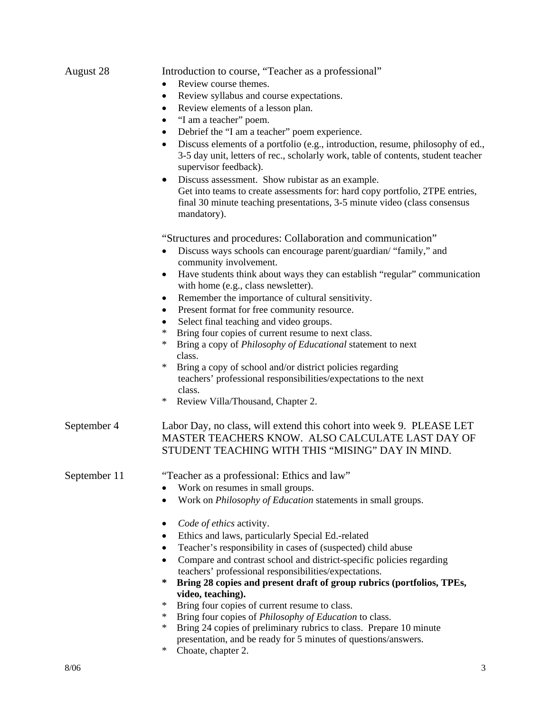| August 28    | Introduction to course, "Teacher as a professional"                                                                                                                                                |                                                                                                                                                                          |  |  |                                                            |
|--------------|----------------------------------------------------------------------------------------------------------------------------------------------------------------------------------------------------|--------------------------------------------------------------------------------------------------------------------------------------------------------------------------|--|--|------------------------------------------------------------|
|              | Review course themes.<br>Review syllabus and course expectations.<br>$\bullet$<br>Review elements of a lesson plan.<br>$\bullet$                                                                   |                                                                                                                                                                          |  |  |                                                            |
|              |                                                                                                                                                                                                    |                                                                                                                                                                          |  |  | "I am a teacher" poem.                                     |
|              |                                                                                                                                                                                                    |                                                                                                                                                                          |  |  | Debrief the "I am a teacher" poem experience.<br>$\bullet$ |
|              | Discuss elements of a portfolio (e.g., introduction, resume, philosophy of ed.,<br>٠<br>3-5 day unit, letters of rec., scholarly work, table of contents, student teacher<br>supervisor feedback). |                                                                                                                                                                          |  |  |                                                            |
|              |                                                                                                                                                                                                    | Discuss assessment. Show rubistar as an example.                                                                                                                         |  |  |                                                            |
|              |                                                                                                                                                                                                    | Get into teams to create assessments for: hard copy portfolio, 2TPE entries,<br>final 30 minute teaching presentations, 3-5 minute video (class consensus<br>mandatory). |  |  |                                                            |
|              | "Structures and procedures: Collaboration and communication"                                                                                                                                       |                                                                                                                                                                          |  |  |                                                            |
|              | Discuss ways schools can encourage parent/guardian/ "family," and<br>٠<br>community involvement.                                                                                                   |                                                                                                                                                                          |  |  |                                                            |
|              | Have students think about ways they can establish "regular" communication<br>$\bullet$<br>with home (e.g., class newsletter).                                                                      |                                                                                                                                                                          |  |  |                                                            |
|              | Remember the importance of cultural sensitivity.<br>$\bullet$                                                                                                                                      |                                                                                                                                                                          |  |  |                                                            |
|              | Present format for free community resource.<br>٠                                                                                                                                                   |                                                                                                                                                                          |  |  |                                                            |
|              | Select final teaching and video groups.                                                                                                                                                            |                                                                                                                                                                          |  |  |                                                            |
|              | $\ast$<br>Bring four copies of current resume to next class.                                                                                                                                       |                                                                                                                                                                          |  |  |                                                            |
|              | ∗<br>Bring a copy of <i>Philosophy of Educational</i> statement to next<br>class.                                                                                                                  |                                                                                                                                                                          |  |  |                                                            |
|              | $\ast$<br>Bring a copy of school and/or district policies regarding<br>teachers' professional responsibilities/expectations to the next<br>class.                                                  |                                                                                                                                                                          |  |  |                                                            |
|              | Review Villa/Thousand, Chapter 2.<br>∗                                                                                                                                                             |                                                                                                                                                                          |  |  |                                                            |
| September 4  | Labor Day, no class, will extend this cohort into week 9. PLEASE LET<br>MASTER TEACHERS KNOW. ALSO CALCULATE LAST DAY OF<br>STUDENT TEACHING WITH THIS "MISING" DAY IN MIND.                       |                                                                                                                                                                          |  |  |                                                            |
| September 11 | "Teacher as a professional: Ethics and law"                                                                                                                                                        |                                                                                                                                                                          |  |  |                                                            |
|              | Work on resumes in small groups.                                                                                                                                                                   |                                                                                                                                                                          |  |  |                                                            |
|              | Work on Philosophy of Education statements in small groups.                                                                                                                                        |                                                                                                                                                                          |  |  |                                                            |
|              | Code of ethics activity.                                                                                                                                                                           |                                                                                                                                                                          |  |  |                                                            |
|              | Ethics and laws, particularly Special Ed.-related                                                                                                                                                  |                                                                                                                                                                          |  |  |                                                            |
|              | Teacher's responsibility in cases of (suspected) child abuse<br>٠                                                                                                                                  |                                                                                                                                                                          |  |  |                                                            |
|              | Compare and contrast school and district-specific policies regarding                                                                                                                               |                                                                                                                                                                          |  |  |                                                            |
|              | teachers' professional responsibilities/expectations.                                                                                                                                              |                                                                                                                                                                          |  |  |                                                            |
|              | ∗<br>Bring 28 copies and present draft of group rubrics (portfolios, TPEs,                                                                                                                         |                                                                                                                                                                          |  |  |                                                            |
|              | video, teaching).                                                                                                                                                                                  |                                                                                                                                                                          |  |  |                                                            |
|              | Bring four copies of current resume to class.<br>∗                                                                                                                                                 |                                                                                                                                                                          |  |  |                                                            |
|              | $^{\ast}$<br>Bring four copies of <i>Philosophy of Education</i> to class.<br>Bring 24 copies of preliminary rubrics to class. Prepare 10 minute<br>∗                                              |                                                                                                                                                                          |  |  |                                                            |
|              | presentation, and be ready for 5 minutes of questions/answers.<br>Choate, chapter 2.<br>∗                                                                                                          |                                                                                                                                                                          |  |  |                                                            |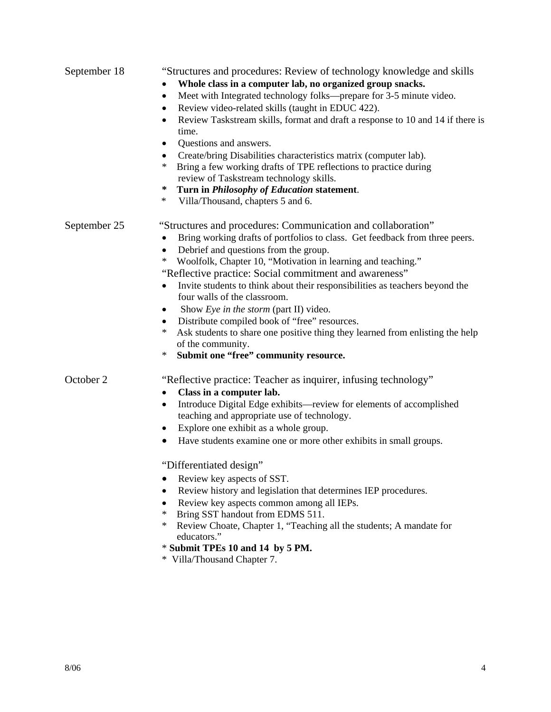| September 18 | "Structures and procedures: Review of technology knowledge and skills                                                           |
|--------------|---------------------------------------------------------------------------------------------------------------------------------|
|              | Whole class in a computer lab, no organized group snacks.                                                                       |
|              | Meet with Integrated technology folks—prepare for 3-5 minute video.<br>$\bullet$                                                |
|              | Review video-related skills (taught in EDUC 422).<br>$\bullet$                                                                  |
|              | Review Taskstream skills, format and draft a response to 10 and 14 if there is<br>$\bullet$<br>time.                            |
|              | Questions and answers.<br>٠                                                                                                     |
|              | Create/bring Disabilities characteristics matrix (computer lab).<br>$\bullet$                                                   |
|              | Bring a few working drafts of TPE reflections to practice during<br>$\ast$<br>review of Taskstream technology skills.           |
|              | Turn in Philosophy of Education statement.<br>∗                                                                                 |
|              | $\ast$<br>Villa/Thousand, chapters 5 and 6.                                                                                     |
| September 25 | "Structures and procedures: Communication and collaboration"                                                                    |
|              | Bring working drafts of portfolios to class. Get feedback from three peers.<br>$\bullet$                                        |
|              | Debrief and questions from the group.<br>$\bullet$                                                                              |
|              | Woolfolk, Chapter 10, "Motivation in learning and teaching."<br>$\ast$                                                          |
|              | "Reflective practice: Social commitment and awareness"                                                                          |
|              | Invite students to think about their responsibilities as teachers beyond the<br>$\bullet$                                       |
|              | four walls of the classroom.                                                                                                    |
|              | Show Eye in the storm (part II) video.<br>٠                                                                                     |
|              | Distribute compiled book of "free" resources.<br>٠                                                                              |
|              | Ask students to share one positive thing they learned from enlisting the help<br>*                                              |
|              | of the community.<br>$\ast$                                                                                                     |
|              | Submit one "free" community resource.                                                                                           |
| October 2    | "Reflective practice: Teacher as inquirer, infusing technology"                                                                 |
|              | Class in a computer lab.<br>$\bullet$                                                                                           |
|              | Introduce Digital Edge exhibits—review for elements of accomplished<br>$\bullet$<br>teaching and appropriate use of technology. |
|              | Explore one exhibit as a whole group.                                                                                           |
|              | Have students examine one or more other exhibits in small groups.                                                               |
|              | "Differentiated design"                                                                                                         |
|              | Review key aspects of SST.                                                                                                      |
|              | Review history and legislation that determines IEP procedures.<br>٠                                                             |
|              | Review key aspects common among all IEPs.                                                                                       |
|              | Bring SST handout from EDMS 511.<br>$\ast$                                                                                      |
|              | $\ast$<br>Review Choate, Chapter 1, "Teaching all the students; A mandate for<br>educators."                                    |
|              | * Submit TPEs 10 and 14 by 5 PM.                                                                                                |
|              | * Villa/Thousand Chapter 7.                                                                                                     |
|              |                                                                                                                                 |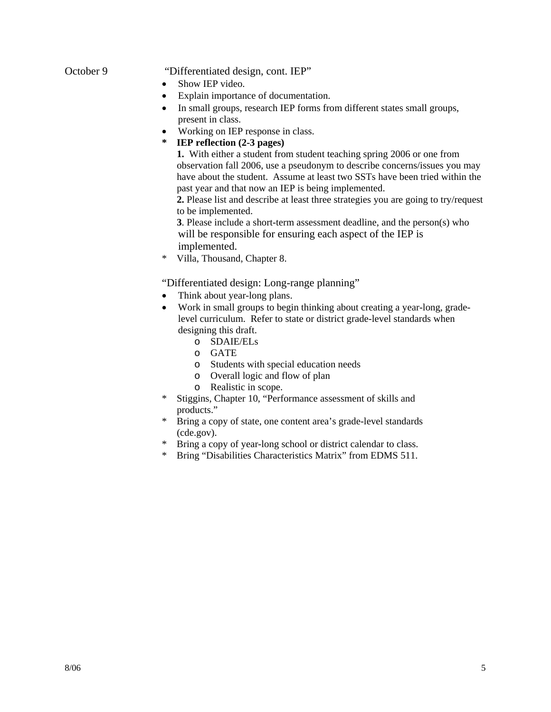# October 9 "Differentiated design, cont. IEP"

- Show IEP video.
- Explain importance of documentation.
- In small groups, research IEP forms from different states small groups, present in class.
- Working on IEP response in class.
- **\* IEP reflection (2-3 pages)**

 **1.** With either a student from student teaching spring 2006 or one from observation fall 2006, use a pseudonym to describe concerns/issues you may have about the student. Assume at least two SSTs have been tried within the past year and that now an IEP is being implemented.

 **2.** Please list and describe at least three strategies you are going to try/request to be implemented.

 **3**. Please include a short-term assessment deadline, and the person(s) who will be responsible for ensuring each aspect of the IEP is implemented.

\* Villa, Thousand, Chapter 8.

"Differentiated design: Long-range planning"

- Think about year-long plans.
- Work in small groups to begin thinking about creating a year-long, gradelevel curriculum. Refer to state or district grade-level standards when designing this draft.
	- o SDAIE/ELs
	- o GATE
	- o Students with special education needs
	- o Overall logic and flow of plan
	- o Realistic in scope.
- \* Stiggins, Chapter 10, "Performance assessment of skills and products."
- \* Bring a copy of state, one content area's grade-level standards (cde.gov).
- \* Bring a copy of year-long school or district calendar to class.
- \* Bring "Disabilities Characteristics Matrix" from EDMS 511.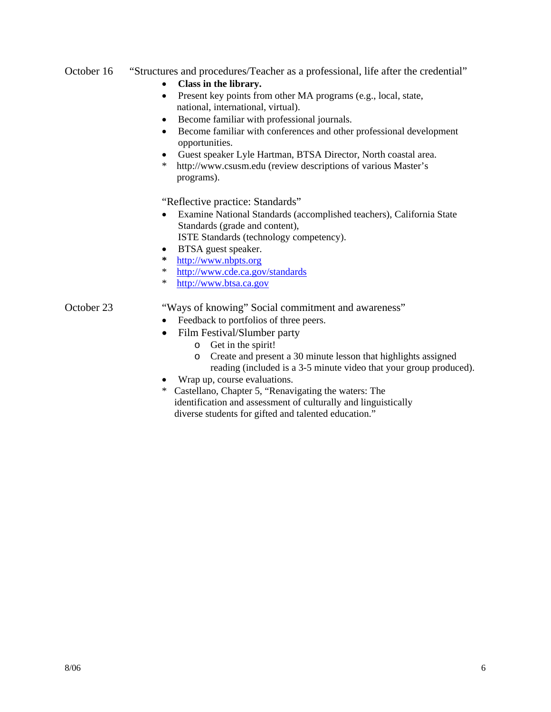# October 16 "Structures and procedures/Teacher as a professional, life after the credential"

- **Class in the library.**
- Present key points from other MA programs (e.g., local, state, national, international, virtual).
- Become familiar with professional journals.
- Become familiar with conferences and other professional development opportunities.
- Guest speaker Lyle Hartman, BTSA Director, North coastal area.
- http://www.csusm.edu (review descriptions of various Master's programs).

"Reflective practice: Standards"

• Examine National Standards (accomplished teachers), California State Standards (grade and content),

ISTE Standards (technology competency).

- BTSA guest speaker.
- **\*** http://www.nbpts.org
- \* http://www.cde.ca.gov/standards
- http://www.btsa.ca.gov

# October 23 "Ways of knowing" Social commitment and awareness"

- Feedback to portfolios of three peers.
- Film Festival/Slumber party
	- o Get in the spirit!
	- o Create and present a 30 minute lesson that highlights assigned reading (included is a 3-5 minute video that your group produced).
- Wrap up, course evaluations.
- \* Castellano, Chapter 5, "Renavigating the waters: The identification and assessment of culturally and linguistically diverse students for gifted and talented education."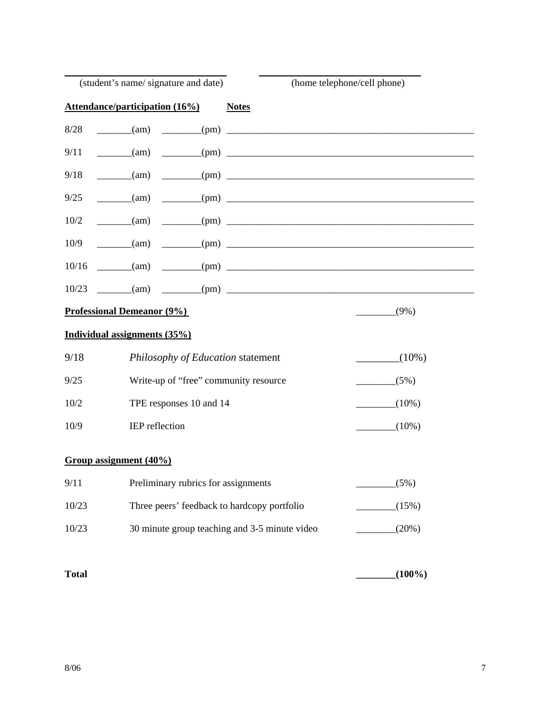|              | (student's name/signature and date)                                                                                                                                                                                                                                                                                                                                                                                                           | (home telephone/cell phone) |
|--------------|-----------------------------------------------------------------------------------------------------------------------------------------------------------------------------------------------------------------------------------------------------------------------------------------------------------------------------------------------------------------------------------------------------------------------------------------------|-----------------------------|
|              | <b>Attendance/participation (16%)</b><br><b>Notes</b>                                                                                                                                                                                                                                                                                                                                                                                         |                             |
| 8/28         | $\frac{1}{\sqrt{1-\frac{1}{2}}}\cdot\frac{1}{\sqrt{1-\frac{1}{2}}}\cdot\frac{1}{\sqrt{1-\frac{1}{2}}}\cdot\frac{1}{\sqrt{1-\frac{1}{2}}}\cdot\frac{1}{\sqrt{1-\frac{1}{2}}}\cdot\frac{1}{\sqrt{1-\frac{1}{2}}}\cdot\frac{1}{\sqrt{1-\frac{1}{2}}}\cdot\frac{1}{\sqrt{1-\frac{1}{2}}}\cdot\frac{1}{\sqrt{1-\frac{1}{2}}}\cdot\frac{1}{\sqrt{1-\frac{1}{2}}}\cdot\frac{1}{\sqrt{1-\frac{1}{2}}}\cdot\frac{1}{\sqrt{1-\frac{1}{2}}}\cdot\frac{1$ |                             |
| 9/11         | $\frac{1}{2}$ (am)                                                                                                                                                                                                                                                                                                                                                                                                                            |                             |
| 9/18         | $\frac{1}{2}$ (am)                                                                                                                                                                                                                                                                                                                                                                                                                            |                             |
| 9/25         | $\frac{1}{\text{cm}}$ (am)                                                                                                                                                                                                                                                                                                                                                                                                                    |                             |
| 10/2         | $\frac{1}{2}$ (pm)<br>$\frac{1}{\text{cm}}$ (am)                                                                                                                                                                                                                                                                                                                                                                                              |                             |
| 10/9         | $\frac{1}{2}$ (pm)<br>(am)                                                                                                                                                                                                                                                                                                                                                                                                                    |                             |
| 10/16        | $\frac{(\text{am})}{(\text{am})}$ $\frac{(\text{pm})}{(\text{pm})}$                                                                                                                                                                                                                                                                                                                                                                           |                             |
| 10/23        | $\frac{1}{\sqrt{2}}$ (am) $\frac{1}{\sqrt{2}}$ (pm) $\frac{1}{\sqrt{2}}$                                                                                                                                                                                                                                                                                                                                                                      |                             |
|              | <b>Professional Demeanor (9%)</b>                                                                                                                                                                                                                                                                                                                                                                                                             | $(9\%)$                     |
|              | Individual assignments (35%)                                                                                                                                                                                                                                                                                                                                                                                                                  |                             |
| 9/18         | Philosophy of Education statement                                                                                                                                                                                                                                                                                                                                                                                                             | $(10\%)$                    |
| 9/25         | Write-up of "free" community resource                                                                                                                                                                                                                                                                                                                                                                                                         | (5%)                        |
| 10/2         | TPE responses 10 and 14                                                                                                                                                                                                                                                                                                                                                                                                                       | $(10\%)$                    |
| 10/9         | IEP reflection                                                                                                                                                                                                                                                                                                                                                                                                                                | $(10\%)$                    |
|              |                                                                                                                                                                                                                                                                                                                                                                                                                                               |                             |
|              | Group assignment (40%)                                                                                                                                                                                                                                                                                                                                                                                                                        |                             |
| 9/11         | Preliminary rubrics for assignments                                                                                                                                                                                                                                                                                                                                                                                                           | (5%)                        |
| 10/23        | Three peers' feedback to hardcopy portfolio                                                                                                                                                                                                                                                                                                                                                                                                   | (15%)                       |
| 10/23        | 30 minute group teaching and 3-5 minute video                                                                                                                                                                                                                                                                                                                                                                                                 | (20%)                       |
|              |                                                                                                                                                                                                                                                                                                                                                                                                                                               |                             |
| <b>Total</b> |                                                                                                                                                                                                                                                                                                                                                                                                                                               | $(100\%)$                   |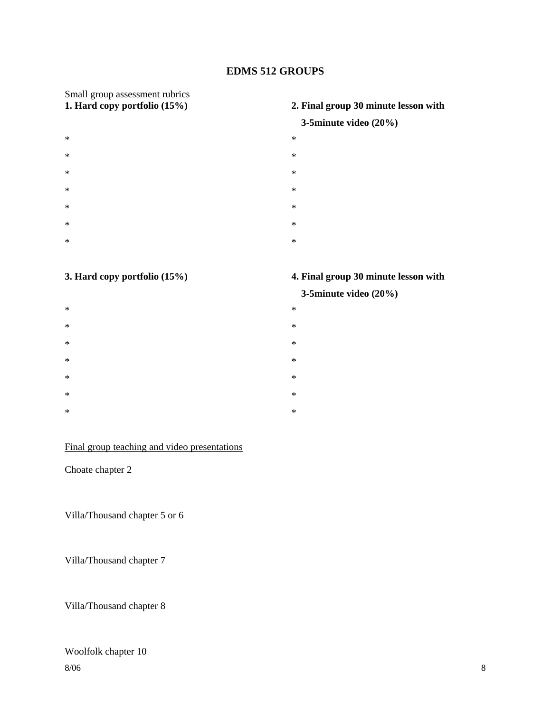# **EDMS 512 GROUPS**

# Small group assessment rubrics<br>1. Hard copy portfolio (15%)

- $*$   $*$  $*$   $*$
- $*$   $*$
- $*$   $*$
- $*$   $*$
- $*$   $*$
- $*$   $*$

- $*$   $*$
- $*$   $*$
- $*$   $*$
- $*$   $*$
- $*$   $*$
- $*$   $*$
- $*$   $*$

# Final group teaching and video presentations

Choate chapter 2

Villa/Thousand chapter 5 or 6

Villa/Thousand chapter 7

# Villa/Thousand chapter 8

# $8/06$  8 Woolfolk chapter 10

# **1. Hard copy portfolio (15%) 2. Final group 30 minute lesson with**

# **3-5minute video (20%)**

- 
- 
- 
- 
- 
- 
- 
- 

# **3. Hard copy portfolio (15%) 4. Final group 30 minute lesson with**

# **3-5minute video (20%)**

- 
- 
- 
- 
- 
- 
-